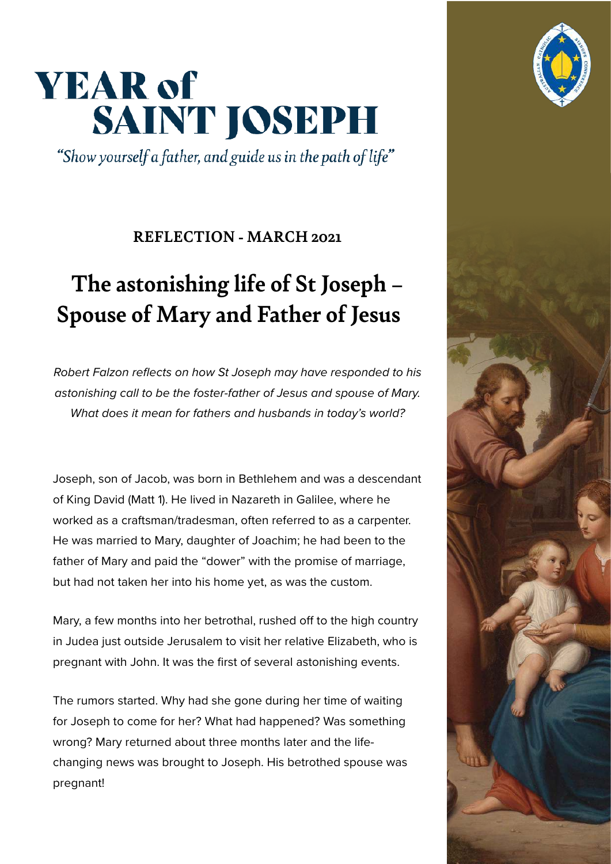## **YEAR of** SAINT JOSEPH

"Show yourself a father, and guide us in the path of life"

## **REFLECTION - MARCH 2021**

## **The astonishing life of St Joseph – Spouse of Mary and Father of Jesus**

Robert Falzon reflects on how St Joseph may have responded to his astonishing call to be the foster-father of Jesus and spouse of Mary. What does it mean for fathers and husbands in today's world?

Joseph, son of Jacob, was born in Bethlehem and was a descendant of King David (Matt 1). He lived in Nazareth in Galilee, where he worked as a craftsman/tradesman, often referred to as a carpenter. He was married to Mary, daughter of Joachim; he had been to the father of Mary and paid the "dower" with the promise of marriage, but had not taken her into his home yet, as was the custom.

Mary, a few months into her betrothal, rushed off to the high country in Judea just outside Jerusalem to visit her relative Elizabeth, who is pregnant with John. It was the first of several astonishing events.

The rumors started. Why had she gone during her time of waiting for Joseph to come for her? What had happened? Was something wrong? Mary returned about three months later and the lifechanging news was brought to Joseph. His betrothed spouse was pregnant!



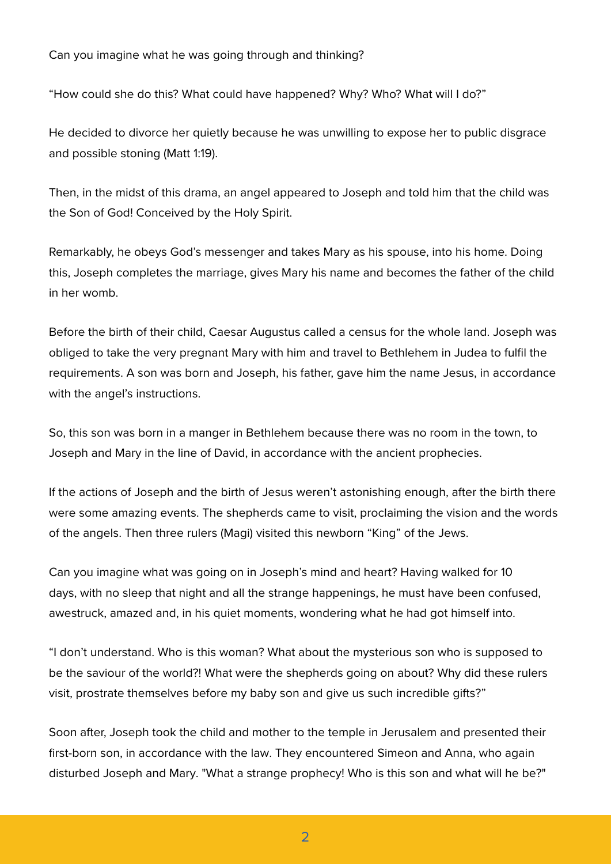Can you imagine what he was going through and thinking?

"How could she do this? What could have happened? Why? Who? What will I do?"

He decided to divorce her quietly because he was unwilling to expose her to public disgrace and possible stoning (Matt 1:19).

Then, in the midst of this drama, an angel appeared to Joseph and told him that the child was the Son of God! Conceived by the Holy Spirit.

Remarkably, he obeys God's messenger and takes Mary as his spouse, into his home. Doing this, Joseph completes the marriage, gives Mary his name and becomes the father of the child in her womb.

Before the birth of their child, Caesar Augustus called a census for the whole land. Joseph was obliged to take the very pregnant Mary with him and travel to Bethlehem in Judea to fulfil the requirements. A son was born and Joseph, his father, gave him the name Jesus, in accordance with the angel's instructions.

So, this son was born in a manger in Bethlehem because there was no room in the town, to Joseph and Mary in the line of David, in accordance with the ancient prophecies.

If the actions of Joseph and the birth of Jesus weren't astonishing enough, after the birth there were some amazing events. The shepherds came to visit, proclaiming the vision and the words of the angels. Then three rulers (Magi) visited this newborn "King" of the Jews.

Can you imagine what was going on in Joseph's mind and heart? Having walked for 10 days, with no sleep that night and all the strange happenings, he must have been confused, awestruck, amazed and, in his quiet moments, wondering what he had got himself into.

"I don't understand. Who is this woman? What about the mysterious son who is supposed to be the saviour of the world?! What were the shepherds going on about? Why did these rulers visit, prostrate themselves before my baby son and give us such incredible gifts?"

Soon after, Joseph took the child and mother to the temple in Jerusalem and presented their first-born son, in accordance with the law. They encountered Simeon and Anna, who again disturbed Joseph and Mary. "What a strange prophecy! Who is this son and what will he be?"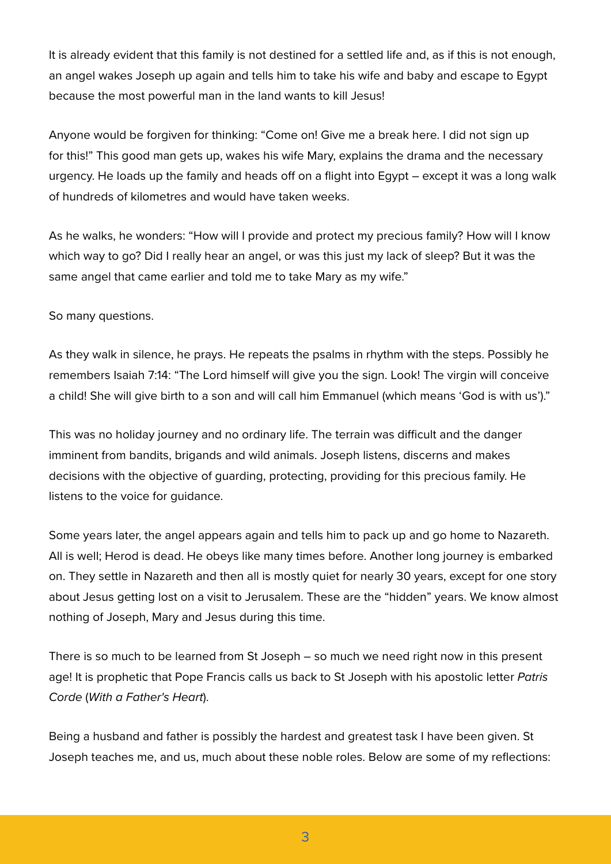It is already evident that this family is not destined for a settled life and, as if this is not enough, an angel wakes Joseph up again and tells him to take his wife and baby and escape to Egypt because the most powerful man in the land wants to kill Jesus!

Anyone would be forgiven for thinking: "Come on! Give me a break here. I did not sign up for this!" This good man gets up, wakes his wife Mary, explains the drama and the necessary urgency. He loads up the family and heads off on a flight into Egypt – except it was a long walk of hundreds of kilometres and would have taken weeks.

As he walks, he wonders: "How will I provide and protect my precious family? How will I know which way to go? Did I really hear an angel, or was this just my lack of sleep? But it was the same angel that came earlier and told me to take Mary as my wife."

So many questions.

As they walk in silence, he prays. He repeats the psalms in rhythm with the steps. Possibly he remembers Isaiah 7:14: "The Lord himself will give you the sign. Look! The virgin will conceive a child! She will give birth to a son and will call him Emmanuel (which means 'God is with us')."

This was no holiday journey and no ordinary life. The terrain was difficult and the danger imminent from bandits, brigands and wild animals. Joseph listens, discerns and makes decisions with the objective of guarding, protecting, providing for this precious family. He listens to the voice for guidance.

Some years later, the angel appears again and tells him to pack up and go home to Nazareth. All is well; Herod is dead. He obeys like many times before. Another long journey is embarked on. They settle in Nazareth and then all is mostly quiet for nearly 30 years, except for one story about Jesus getting lost on a visit to Jerusalem. These are the "hidden" years. We know almost nothing of Joseph, Mary and Jesus during this time.

There is so much to be learned from St Joseph – so much we need right now in this present age! It is prophetic that Pope Francis calls us back to St Joseph with his apostolic letter Patris Corde (With a Father's Heart).

Being a husband and father is possibly the hardest and greatest task I have been given. St Joseph teaches me, and us, much about these noble roles. Below are some of my reflections: